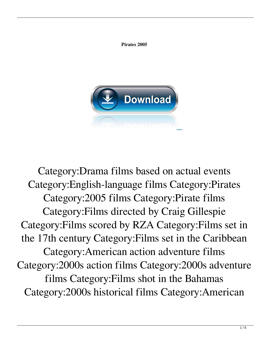

**Pirates 2005**

Category:Drama films based on actual events Category:English-language films Category:Pirates Category:2005 films Category:Pirate films Category:Films directed by Craig Gillespie Category:Films scored by RZA Category:Films set in the 17th century Category:Films set in the Caribbean Category:American action adventure films Category:2000s action films Category:2000s adventure films Category:Films shot in the Bahamas Category:2000s historical films Category:American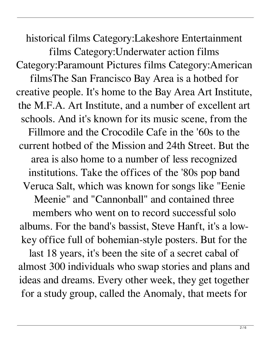historical films Category:Lakeshore Entertainment films Category:Underwater action films Category:Paramount Pictures films Category:American filmsThe San Francisco Bay Area is a hotbed for creative people. It's home to the Bay Area Art Institute, the M.F.A. Art Institute, and a number of excellent art schools. And it's known for its music scene, from the Fillmore and the Crocodile Cafe in the '60s to the current hotbed of the Mission and 24th Street. But the area is also home to a number of less recognized institutions. Take the offices of the '80s pop band Veruca Salt, which was known for songs like "Eenie Meenie" and "Cannonball" and contained three members who went on to record successful solo albums. For the band's bassist, Steve Hanft, it's a lowkey office full of bohemian-style posters. But for the last 18 years, it's been the site of a secret cabal of almost 300 individuals who swap stories and plans and ideas and dreams. Every other week, they get together for a study group, called the Anomaly, that meets for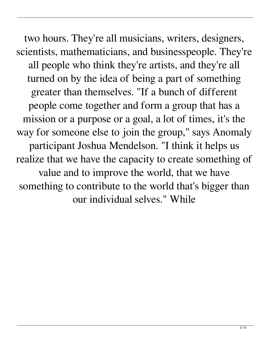two hours. They're all musicians, writers, designers, scientists, mathematicians, and businesspeople. They're all people who think they're artists, and they're all turned on by the idea of being a part of something greater than themselves. "If a bunch of different people come together and form a group that has a mission or a purpose or a goal, a lot of times, it's the way for someone else to join the group," says Anomaly participant Joshua Mendelson. "I think it helps us realize that we have the capacity to create something of value and to improve the world, that we have something to contribute to the world that's bigger than our individual selves." While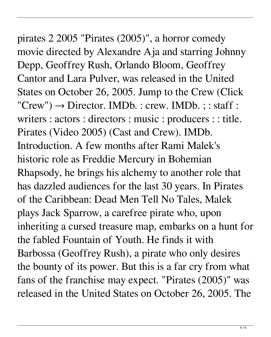## pirates 2 2005 "Pirates (2005)", a horror comedy movie directed by Alexandre Aja and starring Johnny

Depp, Geoffrey Rush, Orlando Bloom, Geoffrey Cantor and Lara Pulver, was released in the United States on October 26, 2005. Jump to the Crew (Click  $"Crew") \rightarrow Director. IMDb. : crew. IMDb. ;: staff :$ writers : actors : directors : music : producers : : title. Pirates (Video 2005) (Cast and Crew). IMDb. Introduction. A few months after Rami Malek's historic role as Freddie Mercury in Bohemian Rhapsody, he brings his alchemy to another role that has dazzled audiences for the last 30 years. In Pirates of the Caribbean: Dead Men Tell No Tales, Malek plays Jack Sparrow, a carefree pirate who, upon inheriting a cursed treasure map, embarks on a hunt for the fabled Fountain of Youth. He finds it with Barbossa (Geoffrey Rush), a pirate who only desires the bounty of its power. But this is a far cry from what fans of the franchise may expect. "Pirates (2005)" was released in the United States on October 26, 2005. The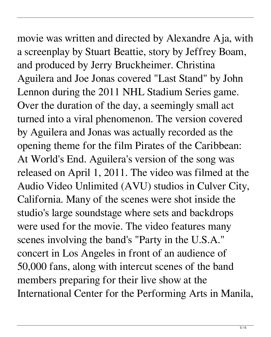movie was written and directed by Alexandre Aja, with a screenplay by Stuart Beattie, story by Jeffrey Boam, and produced by Jerry Bruckheimer. Christina Aguilera and Joe Jonas covered "Last Stand" by John Lennon during the 2011 NHL Stadium Series game. Over the duration of the day, a seemingly small act turned into a viral phenomenon. The version covered by Aguilera and Jonas was actually recorded as the opening theme for the film Pirates of the Caribbean: At World's End. Aguilera's version of the song was released on April 1, 2011. The video was filmed at the Audio Video Unlimited (AVU) studios in Culver City, California. Many of the scenes were shot inside the studio's large soundstage where sets and backdrops were used for the movie. The video features many scenes involving the band's "Party in the U.S.A." concert in Los Angeles in front of an audience of 50,000 fans, along with intercut scenes of the band members preparing for their live show at the International Center for the Performing Arts in Manila,